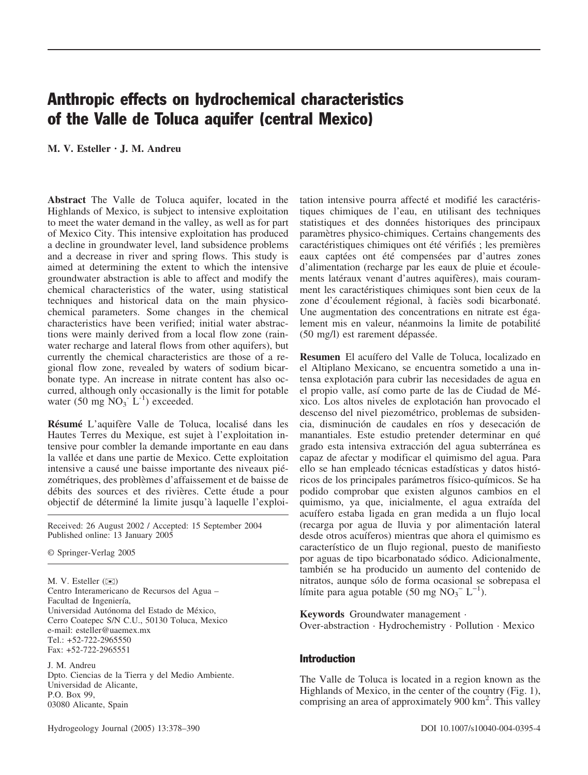# Anthropic effects on hydrochemical characteristics of the Valle de Toluca aquifer (central Mexico)

## M. V. Esteller · J. M. Andreu

Abstract The Valle de Toluca aquifer, located in the Highlands of Mexico, is subject to intensive exploitation to meet the water demand in the valley, as well as for part of Mexico City. This intensive exploitation has produced a decline in groundwater level, land subsidence problems and a decrease in river and spring flows. This study is aimed at determining the extent to which the intensive groundwater abstraction is able to affect and modify the chemical characteristics of the water, using statistical techniques and historical data on the main physicochemical parameters. Some changes in the chemical characteristics have been verified; initial water abstractions were mainly derived from a local flow zone (rainwater recharge and lateral flows from other aquifers), but currently the chemical characteristics are those of a regional flow zone, revealed by waters of sodium bicarbonate type. An increase in nitrate content has also occurred, although only occasionally is the limit for potable water (50 mg  $NO<sub>3</sub><sup>-</sup> L<sup>-1</sup>$ ) exceeded.

Résumé L'aquifère Valle de Toluca, localisé dans les Hautes Terres du Mexique, est sujet à l'exploitation intensive pour combler la demande importante en eau dans la vallée et dans une partie de Mexico. Cette exploitation intensive a causé une baisse importante des niveaux piézométriques, des problèmes d'affaissement et de baisse de débits des sources et des rivières. Cette étude a pour objectif de déterminé la limite jusqu'à laquelle l'exploi-

Received: 26 August 2002 / Accepted: 15 September 2004 Published online: 13 January 2005

Springer-Verlag 2005

M. V. Esteller ( $\bowtie$ ) Centro Interamericano de Recursos del Agua – Facultad de Ingeniería, Universidad Autónoma del Estado de México, Cerro Coatepec S/N C.U., 50130 Toluca, Mexico e-mail: esteller@uaemex.mx Tel.: +52-722-2965550 Fax: +52-722-2965551

J. M. Andreu Dpto. Ciencias de la Tierra y del Medio Ambiente. Universidad de Alicante, P.O. Box 99, 03080 Alicante, Spain

Hydrogeology Journal (2005) 13:378–390 DOI 10.1007/s10040-004-0395-4

tation intensive pourra affecté et modifié les caractéristiques chimiques de l'eau, en utilisant des techniques statistiques et des données historiques des principaux paramètres physico-chimiques. Certains changements des caractéristiques chimiques ont été vérifiés ; les premières eaux captées ont été compensées par d'autres zones d'alimentation (recharge par les eaux de pluie et écoulements latéraux venant d'autres aquifères), mais couramment les caractéristiques chimiques sont bien ceux de la zone d'écoulement régional, à faciès sodi bicarbonaté. Une augmentation des concentrations en nitrate est également mis en valeur, néanmoins la limite de potabilité (50 mg/l) est rarement dépassée.

Resumen El acufero del Valle de Toluca, localizado en el Altiplano Mexicano, se encuentra sometido a una intensa explotación para cubrir las necesidades de agua en el propio valle, así como parte de las de Ciudad de México. Los altos niveles de explotación han provocado el descenso del nivel piezométrico, problemas de subsidencia, disminución de caudales en ríos y desecación de manantiales. Este estudio pretender determinar en qué grado esta intensiva extracción del agua subterránea es capaz de afectar y modificar el quimismo del agua. Para ello se han empleado técnicas estadísticas y datos históricos de los principales parámetros físico-químicos. Se ha podido comprobar que existen algunos cambios en el quimismo, ya que, inicialmente, el agua extraída del acufero estaba ligada en gran medida a un flujo local (recarga por agua de lluvia y por alimentación lateral desde otros acuferos) mientras que ahora el quimismo es característico de un flujo regional, puesto de manifiesto por aguas de tipo bicarbonatado sódico. Adicionalmente, también se ha producido un aumento del contenido de nitratos, aunque sólo de forma ocasional se sobrepasa el límite para agua potable (50 mg  $NO_3^-$  L<sup>-1</sup>).

Keywords Groundwater management · Over-abstraction · Hydrochemistry · Pollution · Mexico

# Introduction

The Valle de Toluca is located in a region known as the Highlands of Mexico, in the center of the country (Fig. 1), comprising an area of approximately 900 km<sup>2</sup>. This valley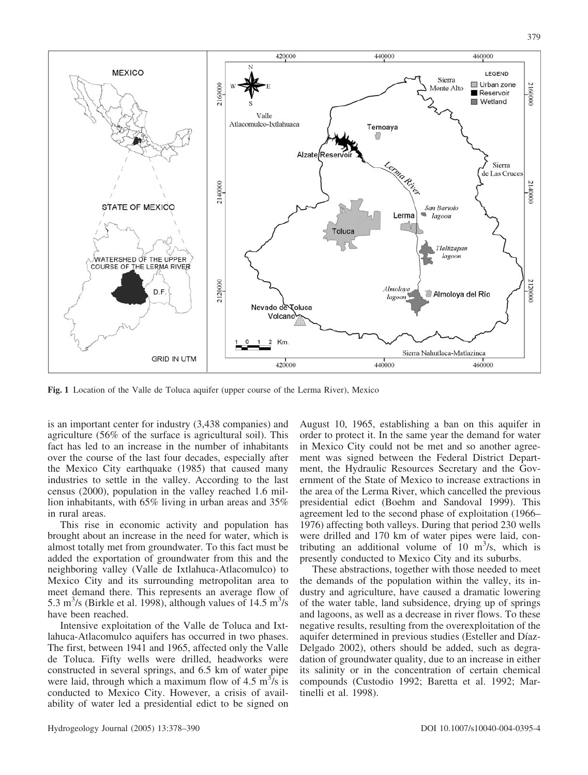

Fig. 1 Location of the Valle de Toluca aquifer (upper course of the Lerma River), Mexico

is an important center for industry (3,438 companies) and agriculture (56% of the surface is agricultural soil). This fact has led to an increase in the number of inhabitants over the course of the last four decades, especially after the Mexico City earthquake (1985) that caused many industries to settle in the valley. According to the last census (2000), population in the valley reached 1.6 million inhabitants, with 65% living in urban areas and 35% in rural areas.

This rise in economic activity and population has brought about an increase in the need for water, which is almost totally met from groundwater. To this fact must be added the exportation of groundwater from this and the neighboring valley (Valle de Ixtlahuca-Atlacomulco) to Mexico City and its surrounding metropolitan area to meet demand there. This represents an average flow of 5.3 m<sup>3</sup>/s (Birkle et al. 1998), although values of 14.5 m<sup>3</sup>/s have been reached.

Intensive exploitation of the Valle de Toluca and Ixtlahuca-Atlacomulco aquifers has occurred in two phases. The first, between 1941 and 1965, affected only the Valle de Toluca. Fifty wells were drilled, headworks were constructed in several springs, and 6.5 km of water pipe were laid, through which a maximum flow of 4.5  $m^3/s$  is conducted to Mexico City. However, a crisis of availability of water led a presidential edict to be signed on

August 10, 1965, establishing a ban on this aquifer in order to protect it. In the same year the demand for water in Mexico City could not be met and so another agreement was signed between the Federal District Department, the Hydraulic Resources Secretary and the Government of the State of Mexico to increase extractions in the area of the Lerma River, which cancelled the previous presidential edict (Boehm and Sandoval 1999). This agreement led to the second phase of exploitation (1966– 1976) affecting both valleys. During that period 230 wells were drilled and 170 km of water pipes were laid, contributing an additional volume of  $10 \text{ m}^3$ /s, which is presently conducted to Mexico City and its suburbs.

These abstractions, together with those needed to meet the demands of the population within the valley, its industry and agriculture, have caused a dramatic lowering of the water table, land subsidence, drying up of springs and lagoons, as well as a decrease in river flows. To these negative results, resulting from the overexploitation of the aquifer determined in previous studies (Esteller and Díaz-Delgado 2002), others should be added, such as degradation of groundwater quality, due to an increase in either its salinity or in the concentration of certain chemical compounds (Custodio 1992; Baretta et al. 1992; Martinelli et al. 1998).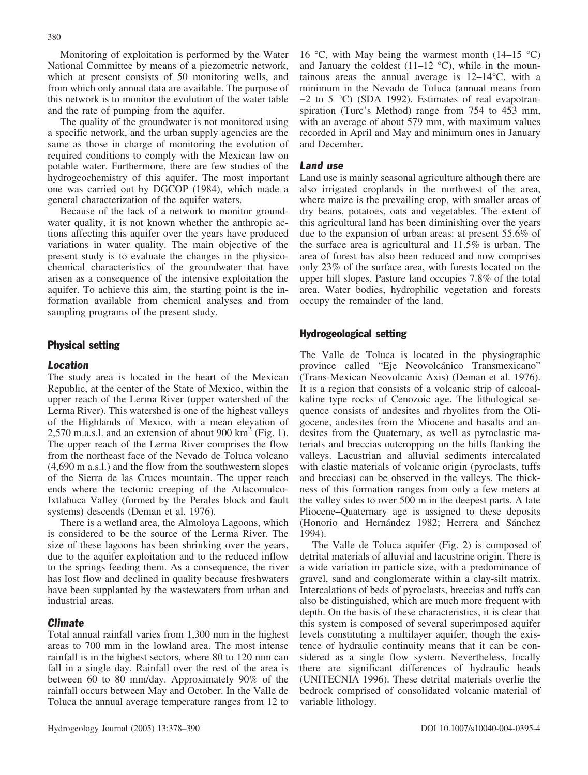Monitoring of exploitation is performed by the Water National Committee by means of a piezometric network, which at present consists of 50 monitoring wells, and from which only annual data are available. The purpose of this network is to monitor the evolution of the water table and the rate of pumping from the aquifer.

The quality of the groundwater is not monitored using a specific network, and the urban supply agencies are the same as those in charge of monitoring the evolution of required conditions to comply with the Mexican law on potable water. Furthermore, there are few studies of the hydrogeochemistry of this aquifer. The most important one was carried out by DGCOP (1984), which made a general characterization of the aquifer waters.

Because of the lack of a network to monitor groundwater quality, it is not known whether the anthropic actions affecting this aquifer over the years have produced variations in water quality. The main objective of the present study is to evaluate the changes in the physicochemical characteristics of the groundwater that have arisen as a consequence of the intensive exploitation the aquifer. To achieve this aim, the starting point is the information available from chemical analyses and from sampling programs of the present study.

# Physical setting

## Location

The study area is located in the heart of the Mexican Republic, at the center of the State of Mexico, within the upper reach of the Lerma River (upper watershed of the Lerma River). This watershed is one of the highest valleys of the Highlands of Mexico, with a mean elevation of 2,570 m.a.s.l. and an extension of about 900  $\text{km}^2$  (Fig. 1). The upper reach of the Lerma River comprises the flow from the northeast face of the Nevado de Toluca volcano (4,690 m a.s.l.) and the flow from the southwestern slopes of the Sierra de las Cruces mountain. The upper reach ends where the tectonic creeping of the Atlacomulco-Ixtlahuca Valley (formed by the Perales block and fault systems) descends (Deman et al. 1976).

There is a wetland area, the Almoloya Lagoons, which is considered to be the source of the Lerma River. The size of these lagoons has been shrinking over the years, due to the aquifer exploitation and to the reduced inflow to the springs feeding them. As a consequence, the river has lost flow and declined in quality because freshwaters have been supplanted by the wastewaters from urban and industrial areas.

# Climate

Total annual rainfall varies from 1,300 mm in the highest areas to 700 mm in the lowland area. The most intense rainfall is in the highest sectors, where 80 to 120 mm can fall in a single day. Rainfall over the rest of the area is between 60 to 80 mm/day. Approximately 90% of the rainfall occurs between May and October. In the Valle de Toluca the annual average temperature ranges from 12 to

16  $\degree$ C, with May being the warmest month (14–15  $\degree$ C) and January the coldest  $(11-12 \degree C)$ , while in the mountainous areas the annual average is  $12-14\degree C$ , with a minimum in the Nevado de Toluca (annual means from  $-2$  to 5 °C) (SDA 1992). Estimates of real evapotranspiration (Turc's Method) range from 754 to 453 mm, with an average of about 579 mm, with maximum values recorded in April and May and minimum ones in January and December.

### Land use

Land use is mainly seasonal agriculture although there are also irrigated croplands in the northwest of the area, where maize is the prevailing crop, with smaller areas of dry beans, potatoes, oats and vegetables. The extent of this agricultural land has been diminishing over the years due to the expansion of urban areas: at present 55.6% of the surface area is agricultural and 11.5% is urban. The area of forest has also been reduced and now comprises only 23% of the surface area, with forests located on the upper hill slopes. Pasture land occupies 7.8% of the total area. Water bodies, hydrophilic vegetation and forests occupy the remainder of the land.

## Hydrogeological setting

The Valle de Toluca is located in the physiographic province called "Eje Neovolcánico Transmexicano" (Trans-Mexican Neovolcanic Axis) (Deman et al. 1976). It is a region that consists of a volcanic strip of calcoalkaline type rocks of Cenozoic age. The lithological sequence consists of andesites and rhyolites from the Oligocene, andesites from the Miocene and basalts and andesites from the Quaternary, as well as pyroclastic materials and breccias outcropping on the hills flanking the valleys. Lacustrian and alluvial sediments intercalated with clastic materials of volcanic origin (pyroclasts, tuffs and breccias) can be observed in the valleys. The thickness of this formation ranges from only a few meters at the valley sides to over 500 m in the deepest parts. A late Pliocene–Quaternary age is assigned to these deposits (Honorio and Hernández 1982; Herrera and Sánchez 1994).

The Valle de Toluca aquifer (Fig. 2) is composed of detrital materials of alluvial and lacustrine origin. There is a wide variation in particle size, with a predominance of gravel, sand and conglomerate within a clay-silt matrix. Intercalations of beds of pyroclasts, breccias and tuffs can also be distinguished, which are much more frequent with depth. On the basis of these characteristics, it is clear that this system is composed of several superimposed aquifer levels constituting a multilayer aquifer, though the existence of hydraulic continuity means that it can be considered as a single flow system. Nevertheless, locally there are significant differences of hydraulic heads (UNITECNIA 1996). These detrital materials overlie the bedrock comprised of consolidated volcanic material of variable lithology.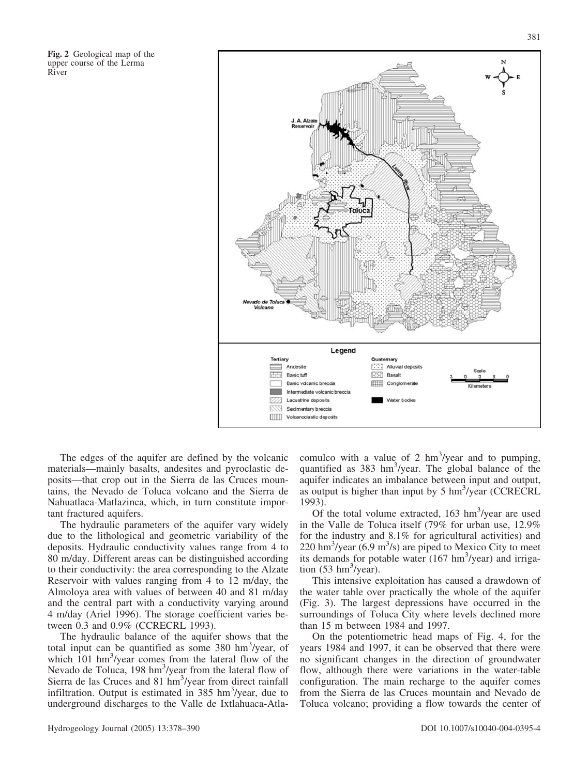Fig. 2 Geological map of the upper course of the Lerma River



Volcanoclastic deposits

**THEFT** 

The edges of the aquifer are defined by the volcanic materials—mainly basalts, andesites and pyroclastic deposits—that crop out in the Sierra de las Cruces mountains, the Nevado de Toluca volcano and the Sierra de Nahuatlaca-Matlazinca, which, in turn constitute important fractured aquifers.

The hydraulic parameters of the aquifer vary widely due to the lithological and geometric variability of the deposits. Hydraulic conductivity values range from 4 to 80 m/day. Different areas can be distinguished according to their conductivity: the area corresponding to the Alzate Reservoir with values ranging from 4 to 12 m/day, the Almoloya area with values of between 40 and 81 m/day and the central part with a conductivity varying around 4 m/day (Ariel 1996). The storage coefficient varies between 0.3 and 0.9% (CCRECRL 1993).

The hydraulic balance of the aquifer shows that the total input can be quantified as some  $380 \text{ hm}^3\text{/year}$ , of which  $101 \text{ hm}^3/\text{year}$  comes from the lateral flow of the Nevado de Toluca, 198 hm<sup>3</sup>/year from the lateral flow of Sierra de las Cruces and 81 hm<sup>3</sup>/year from direct rainfall infiltration. Output is estimated in 385 hm<sup>3</sup>/year, due to underground discharges to the Valle de Ixtlahuaca-Atla-

comulco with a value of 2  $\text{hm}^3$ /year and to pumping, quantified as 383 hm<sup>3</sup>/year. The global balance of the aquifer indicates an imbalance between input and output, as output is higher than input by 5 hm<sup>3</sup>/year (CCRECRL 1993).

Of the total volume extracted,  $163 \text{ hm}^3\text{/year}$  are used in the Valle de Toluca itself (79% for urban use, 12.9% for the industry and 8.1% for agricultural activities) and 220 hm<sup>3</sup>/year (6.9 m<sup>3</sup>/s) are piped to Mexico City to meet its demands for potable water  $(167 \text{ hm}^3/\text{year})$  and irrigation  $(53 \text{ hm}^3/\text{year})$ .

This intensive exploitation has caused a drawdown of the water table over practically the whole of the aquifer (Fig. 3). The largest depressions have occurred in the surroundings of Toluca City where levels declined more than 15 m between 1984 and 1997.

On the potentiometric head maps of Fig. 4, for the years 1984 and 1997, it can be observed that there were no significant changes in the direction of groundwater flow, although there were variations in the water-table configuration. The main recharge to the aquifer comes from the Sierra de las Cruces mountain and Nevado de Toluca volcano; providing a flow towards the center of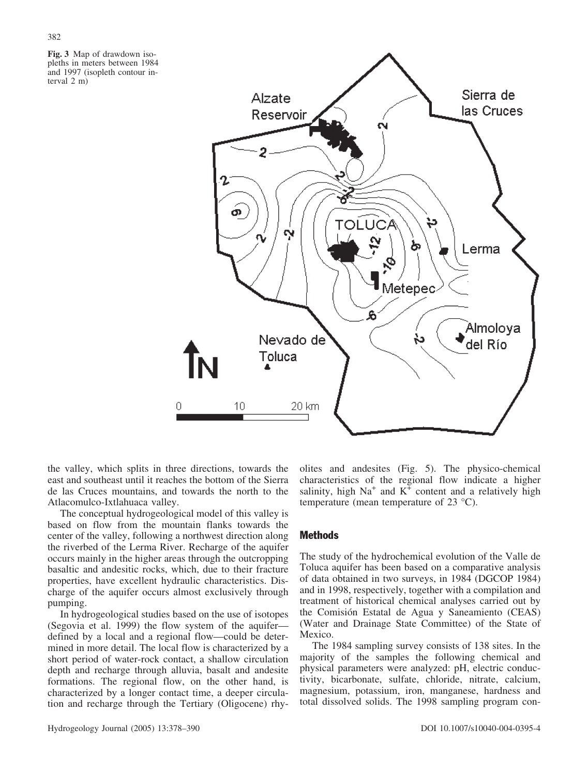Fig. 3 Map of drawdown isopleths in meters between 1984 and 1997 (isopleth contour interval 2 m)



the valley, which splits in three directions, towards the east and southeast until it reaches the bottom of the Sierra de las Cruces mountains, and towards the north to the Atlacomulco-Ixtlahuaca valley.

The conceptual hydrogeological model of this valley is based on flow from the mountain flanks towards the center of the valley, following a northwest direction along the riverbed of the Lerma River. Recharge of the aquifer occurs mainly in the higher areas through the outcropping basaltic and andesitic rocks, which, due to their fracture properties, have excellent hydraulic characteristics. Discharge of the aquifer occurs almost exclusively through pumping.

In hydrogeological studies based on the use of isotopes (Segovia et al. 1999) the flow system of the aquifer defined by a local and a regional flow—could be determined in more detail. The local flow is characterized by a short period of water-rock contact, a shallow circulation depth and recharge through alluvia, basalt and andesite formations. The regional flow, on the other hand, is characterized by a longer contact time, a deeper circulation and recharge through the Tertiary (Oligocene) rhyolites and andesites (Fig. 5). The physico-chemical characteristics of the regional flow indicate a higher salinity, high  $Na<sup>+</sup>$  and  $K<sup>+</sup>$  content and a relatively high temperature (mean temperature of  $23 \text{ }^{\circ}$ C).

#### Methods

The study of the hydrochemical evolution of the Valle de Toluca aquifer has been based on a comparative analysis of data obtained in two surveys, in 1984 (DGCOP 1984) and in 1998, respectively, together with a compilation and treatment of historical chemical analyses carried out by the Comisión Estatal de Agua y Saneamiento (CEAS) (Water and Drainage State Committee) of the State of Mexico.

The 1984 sampling survey consists of 138 sites. In the majority of the samples the following chemical and physical parameters were analyzed: pH, electric conductivity, bicarbonate, sulfate, chloride, nitrate, calcium, magnesium, potassium, iron, manganese, hardness and total dissolved solids. The 1998 sampling program con-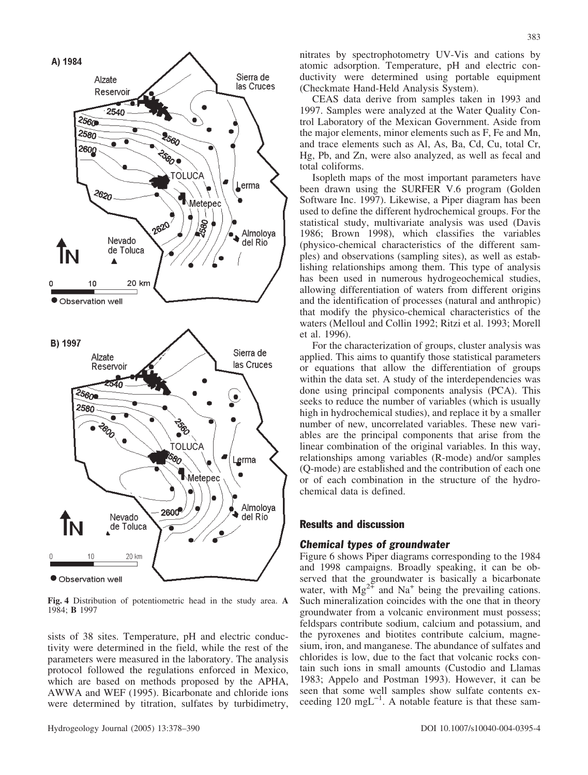

Fig. 4 Distribution of potentiometric head in the study area. A 1984; B 1997

sists of 38 sites. Temperature, pH and electric conductivity were determined in the field, while the rest of the parameters were measured in the laboratory. The analysis protocol followed the regulations enforced in Mexico, which are based on methods proposed by the APHA, AWWA and WEF (1995). Bicarbonate and chloride ions were determined by titration, sulfates by turbidimetry, nitrates by spectrophotometry UV-Vis and cations by atomic adsorption. Temperature, pH and electric conductivity were determined using portable equipment (Checkmate Hand-Held Analysis System).

CEAS data derive from samples taken in 1993 and 1997. Samples were analyzed at the Water Quality Control Laboratory of the Mexican Government. Aside from the major elements, minor elements such as F, Fe and Mn, and trace elements such as Al, As, Ba, Cd, Cu, total Cr, Hg, Pb, and Zn, were also analyzed, as well as fecal and total coliforms.

Isopleth maps of the most important parameters have been drawn using the SURFER V.6 program (Golden Software Inc. 1997). Likewise, a Piper diagram has been used to define the different hydrochemical groups. For the statistical study, multivariate analysis was used (Davis 1986; Brown 1998), which classifies the variables (physico-chemical characteristics of the different samples) and observations (sampling sites), as well as establishing relationships among them. This type of analysis has been used in numerous hydrogeochemical studies, allowing differentiation of waters from different origins and the identification of processes (natural and anthropic) that modify the physico-chemical characteristics of the waters (Melloul and Collin 1992; Ritzi et al. 1993; Morell et al. 1996).

For the characterization of groups, cluster analysis was applied. This aims to quantify those statistical parameters or equations that allow the differentiation of groups within the data set. A study of the interdependencies was done using principal components analysis (PCA). This seeks to reduce the number of variables (which is usually high in hydrochemical studies), and replace it by a smaller number of new, uncorrelated variables. These new variables are the principal components that arise from the linear combination of the original variables. In this way, relationships among variables (R-mode) and/or samples (Q-mode) are established and the contribution of each one or of each combination in the structure of the hydrochemical data is defined.

## Results and discussion

#### Chemical types of groundwater

Figure 6 shows Piper diagrams corresponding to the 1984 and 1998 campaigns. Broadly speaking, it can be observed that the groundwater is basically a bicarbonate water, with  $Mg^{2+}$  and  $Na^{+}$  being the prevailing cations. Such mineralization coincides with the one that in theory groundwater from a volcanic environment must possess; feldspars contribute sodium, calcium and potassium, and the pyroxenes and biotites contribute calcium, magnesium, iron, and manganese. The abundance of sulfates and chlorides is low, due to the fact that volcanic rocks contain such ions in small amounts (Custodio and Llamas 1983; Appelo and Postman 1993). However, it can be seen that some well samples show sulfate contents exceeding  $120 \text{ mgL}^{-1}$ . A notable feature is that these sam-

383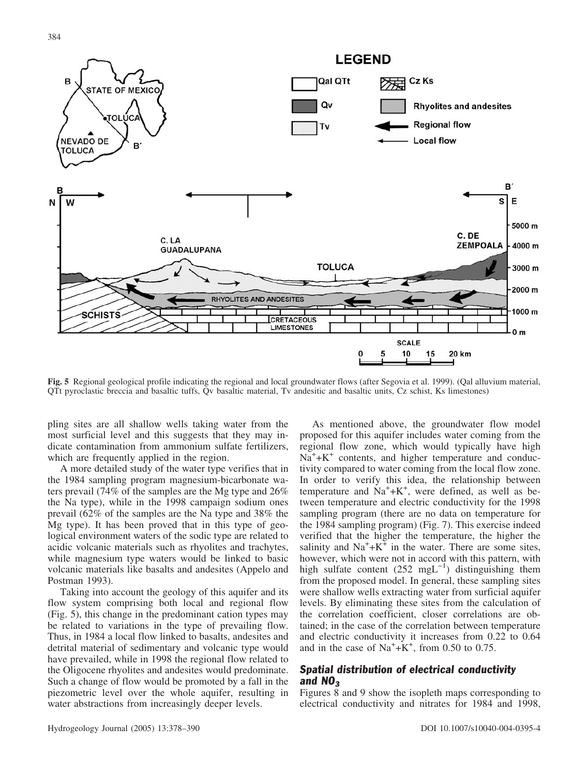

Fig. 5 Regional geological profile indicating the regional and local groundwater flows (after Segovia et al. 1999). (Qal alluvium material, QTt pyroclastic breccia and basaltic tuffs, Qv basaltic material, Tv andesitic and basaltic units, Cz schist, Ks limestones)

pling sites are all shallow wells taking water from the most surficial level and this suggests that they may indicate contamination from ammonium sulfate fertilizers, which are frequently applied in the region.

A more detailed study of the water type verifies that in the 1984 sampling program magnesium-bicarbonate waters prevail (74% of the samples are the Mg type and 26% the Na type), while in the 1998 campaign sodium ones prevail (62% of the samples are the Na type and 38% the Mg type). It has been proved that in this type of geological environment waters of the sodic type are related to acidic volcanic materials such as rhyolites and trachytes, while magnesium type waters would be linked to basic volcanic materials like basalts and andesites (Appelo and Postman 1993).

Taking into account the geology of this aquifer and its flow system comprising both local and regional flow (Fig. 5), this change in the predominant cation types may be related to variations in the type of prevailing flow. Thus, in 1984 a local flow linked to basalts, andesites and detrital material of sedimentary and volcanic type would have prevailed, while in 1998 the regional flow related to the Oligocene rhyolites and andesites would predominate. Such a change of flow would be promoted by a fall in the piezometric level over the whole aquifer, resulting in water abstractions from increasingly deeper levels.

As mentioned above, the groundwater flow model proposed for this aquifer includes water coming from the regional flow zone, which would typically have high Na<sup>+</sup>+K<sup>+</sup> contents, and higher temperature and conductivity compared to water coming from the local flow zone. In order to verify this idea, the relationship between temperature and  $\text{Na}^+ + \text{K}^+$ , were defined, as well as between temperature and electric conductivity for the 1998 sampling program (there are no data on temperature for the 1984 sampling program) (Fig. 7). This exercise indeed verified that the higher the temperature, the higher the salinity and  $Na^+ + K^+$  in the water. There are some sites, however, which were not in accord with this pattern, with high sulfate content  $(252 \text{ mgL}^{-1})$  distinguishing them from the proposed model. In general, these sampling sites were shallow wells extracting water from surficial aquifer levels. By eliminating these sites from the calculation of the correlation coefficient, closer correlations are obtained; in the case of the correlation between temperature and electric conductivity it increases from 0.22 to 0.64 and in the case of  $Na^+ + K^+$ , from 0.50 to 0.75.

# Spatial distribution of electrical conductivity and  $NO<sub>3</sub>$

Figures 8 and 9 show the isopleth maps corresponding to electrical conductivity and nitrates for 1984 and 1998,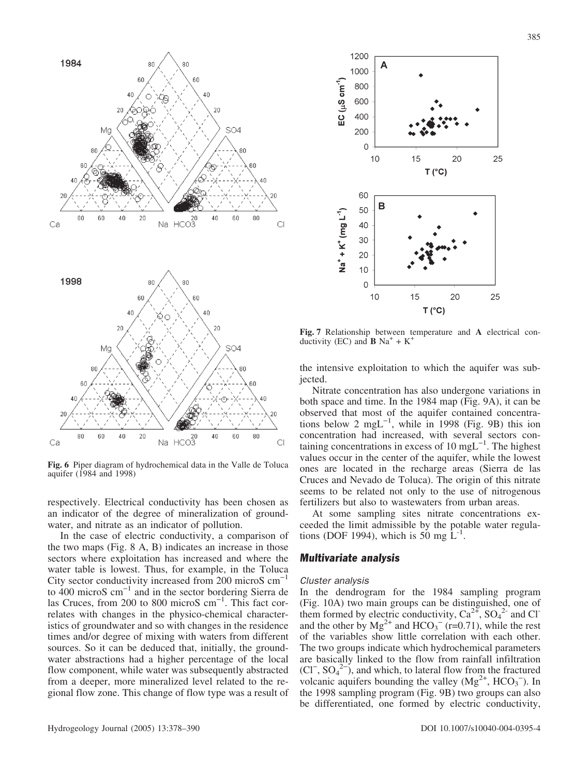

Fig. 6 Piper diagram of hydrochemical data in the Valle de Toluca aquifer (1984 and 1998)

respectively. Electrical conductivity has been chosen as an indicator of the degree of mineralization of groundwater, and nitrate as an indicator of pollution.

In the case of electric conductivity, a comparison of the two maps (Fig. 8 A, B) indicates an increase in those sectors where exploitation has increased and where the water table is lowest. Thus, for example, in the Toluca City sector conductivity increased from 200 microS  $cm^{-1}$ to  $400$  microS cm<sup>-1</sup> and in the sector bordering Sierra de las Cruces, from 200 to 800 microS  $cm^{-1}$ . This fact correlates with changes in the physico-chemical characteristics of groundwater and so with changes in the residence times and/or degree of mixing with waters from different sources. So it can be deduced that, initially, the groundwater abstractions had a higher percentage of the local flow component, while water was subsequently abstracted from a deeper, more mineralized level related to the regional flow zone. This change of flow type was a result of



Fig. 7 Relationship between temperature and A electrical conductivity (EC) and  $\bf{B}$  Na<sup>+</sup> + K<sup>+</sup>

the intensive exploitation to which the aquifer was subjected.

Nitrate concentration has also undergone variations in both space and time. In the 1984 map (Fig. 9A), it can be observed that most of the aquifer contained concentrations below 2 mgL $^{-1}$ , while in 1998 (Fig. 9B) this ion concentration had increased, with several sectors containing concentrations in excess of 10 mg $L^{-1}$ . The highest values occur in the center of the aquifer, while the lowest ones are located in the recharge areas (Sierra de las Cruces and Nevado de Toluca). The origin of this nitrate seems to be related not only to the use of nitrogenous fertilizers but also to wastewaters from urban areas.

At some sampling sites nitrate concentrations exceeded the limit admissible by the potable water regulations (DOF 1994), which is 50 mg  $L^{-1}$ .

# Multivariate analysis

#### Cluster analysis

In the dendrogram for the 1984 sampling program (Fig. 10A) two main groups can be distinguished, one of them formed by electric conductivity,  $Ca^{2+}$ ,  $SO_4^{2-}$  and Cl<sup>-</sup> and the other by  $Mg^{2+}$  and  $HCO_3^-$  (r=0.71), while the rest of the variables show little correlation with each other. The two groups indicate which hydrochemical parameters are basically linked to the flow from rainfall infiltration  $(CI^{\dagger}, SO_4^{2-})$ , and which, to lateral flow from the fractured volcanic aquifers bounding the valley  $(Mg^{2+}, HCO_3^-)$ . In the 1998 sampling program (Fig. 9B) two groups can also be differentiated, one formed by electric conductivity,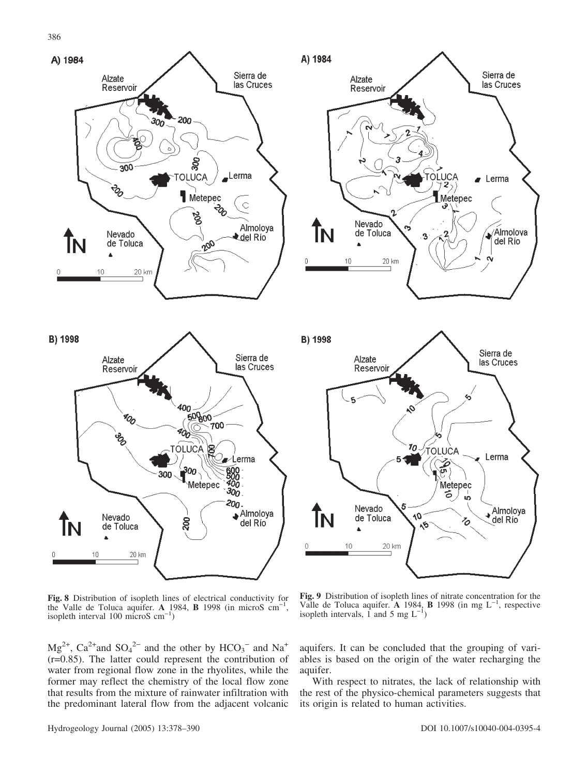386



Fig. 8 Distribution of isopleth lines of electrical conductivity for the Valle de Toluca aquifer. A 1984, **B** 1998 (in microS  $cm^{-1}$ , isopleth interval  $100 \text{ microS cm}^{-1}$ )

 $Mg^{2+}$ , Ca<sup>2+</sup>and SO<sub>4</sub><sup>2-</sup> and the other by HCO<sub>3</sub><sup>-</sup> and Na<sup>+</sup> (r=0.85). The latter could represent the contribution of water from regional flow zone in the rhyolites, while the former may reflect the chemistry of the local flow zone that results from the mixture of rainwater infiltration with the predominant lateral flow from the adjacent volcanic Fig. 9 Distribution of isopleth lines of nitrate concentration for the Valle de Toluca aquifer. A 1984, **B** 1998 (in mg  $L^{-1}$ , respective isopleth intervals, 1 and 5 mg  $L^{-1}$ )

aquifers. It can be concluded that the grouping of variables is based on the origin of the water recharging the aquifer.

With respect to nitrates, the lack of relationship with the rest of the physico-chemical parameters suggests that its origin is related to human activities.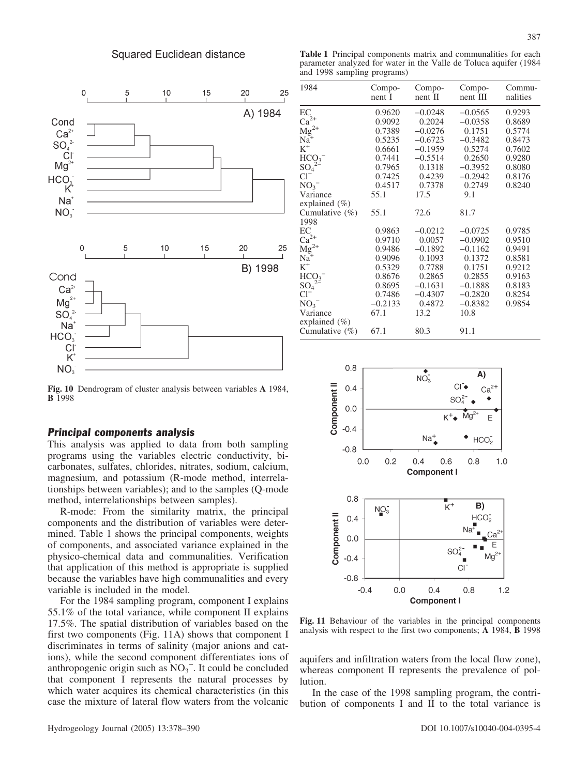#### **Squared Euclidean distance**



Fig. 10 Dendrogram of cluster analysis between variables A 1984, **B** 1998

#### Principal components analysis

This analysis was applied to data from both sampling programs using the variables electric conductivity, bicarbonates, sulfates, chlorides, nitrates, sodium, calcium, magnesium, and potassium (R-mode method, interrelationships between variables); and to the samples (Q-mode method, interrelationships between samples).

R-mode: From the similarity matrix, the principal components and the distribution of variables were determined. Table 1 shows the principal components, weights of components, and associated variance explained in the physico-chemical data and communalities. Verification that application of this method is appropriate is supplied because the variables have high communalities and every variable is included in the model.

For the 1984 sampling program, component I explains 55.1% of the total variance, while component II explains 17.5%. The spatial distribution of variables based on the first two components (Fig. 11A) shows that component I discriminates in terms of salinity (major anions and cations), while the second component differentiates ions of anthropogenic origin such as  $NO<sub>3</sub><sup>-</sup>$ . It could be concluded that component I represents the natural processes by which water acquires its chemical characteristics (in this case the mixture of lateral flow waters from the volcanic

| <b>Table 1</b> Principal components matrix and communalities for each |
|-----------------------------------------------------------------------|
| parameter analyzed for water in the Valle de Toluca aquifer (1984     |
| and 1998 sampling programs)                                           |

| 1984                                      | Compo-<br>nent I           | Compo-<br>nent II             | Compo-<br>nent III            | Commu-<br>nalities         |  |
|-------------------------------------------|----------------------------|-------------------------------|-------------------------------|----------------------------|--|
| EС<br>$\overline{\mathrm{Ca}}^{2+}$       | 0.9620<br>0.9092           | $-0.0248$<br>0.2024           | $-0.0565$<br>$-0.0358$        | 0.9293<br>0.8689           |  |
| $Mg^{2+}$<br>$Na+$                        | 0.7389<br>0.5235           | $-0.0276$<br>$-0.6723$        | 0.1751<br>$-0.3482$           | 0.5774<br>0.8473           |  |
| $K^+$                                     | 0.6661                     | $-0.1959$                     | 0.5274                        | 0.7602                     |  |
| HCO <sub>3</sub><br>$SO_4$                | 0.7441<br>0.7965           | $-0.5514$<br>0.1318           | 0.2650<br>$-0.3952$           | 0.9280<br>0.8080           |  |
| $Cl^-$                                    | 0.7425                     | 0.4239                        | $-0.2942$                     | 0.8176                     |  |
| $NO_3^-$<br>Variance                      | 0.4517<br>55.1             | 0.7378<br>17.5                | 0.2749<br>9.1                 | 0.8240                     |  |
| explained $(\%)$                          |                            |                               |                               |                            |  |
| Cumulative $(\%)$<br>1998                 | 55.1                       | 72.6                          | 81.7                          |                            |  |
| EC                                        | 0.9863                     | $-0.0212$                     | $-0.0725$                     | 0.9785                     |  |
| $Ca^{2+}$<br>$Mg^{2+}$                    | 0.9710<br>0.9486           | 0.0057<br>$-0.1892$           | $-0.0902$<br>$-0.1162$        | 0.9510<br>0.9491           |  |
| $N\tilde{a}^+$                            | 0.9096                     | 0.1093                        | 0.1372                        | 0.8581                     |  |
| $K^+$<br>HCO <sub>3</sub><br>$SO_4^2$     | 0.5329<br>0.8676<br>0.8695 | 0.7788<br>0.2865<br>$-0.1631$ | 0.1751<br>0.2855<br>$-0.1888$ | 0.9212<br>0.9163<br>0.8183 |  |
| $Cl^{-}$                                  | 0.7486                     | $-0.4307$                     | $-0.2820$                     | 0.8254                     |  |
| $NO_3^-$<br>Variance<br>explained $(\% )$ | $-0.2133$<br>67.1          | 0.4872<br>13.2                | $-0.8382$<br>10.8             | 0.9854                     |  |
| Cumulative $(\%)$                         | 67.1                       | 80.3                          | 91.1                          |                            |  |



Fig. 11 Behaviour of the variables in the principal components analysis with respect to the first two components; A 1984, B 1998

aquifers and infiltration waters from the local flow zone), whereas component II represents the prevalence of pollution.

In the case of the 1998 sampling program, the contribution of components I and II to the total variance is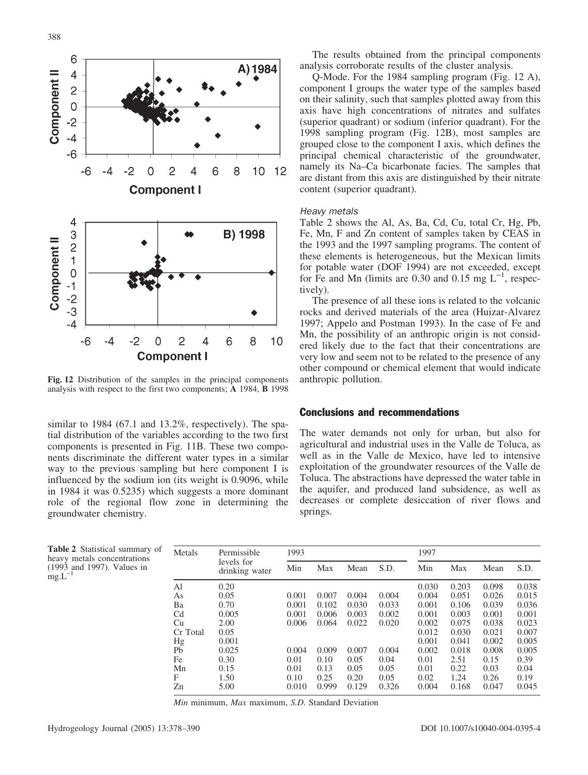

Fig. 12 Distribution of the samples in the principal components analysis with respect to the first two components; A 1984, B 1998

similar to 1984 (67.1 and 13.2%, respectively). The spatial distribution of the variables according to the two first components is presented in Fig. 11B. These two components discriminate the different water types in a similar way to the previous sampling but here component I is influenced by the sodium ion (its weight is 0.9096, while in 1984 it was 0.5235) which suggests a more dominant role of the regional flow zone in determining the groundwater chemistry.

The results obtained from the principal components analysis corroborate results of the cluster analysis.

Q-Mode. For the 1984 sampling program (Fig. 12 A), component I groups the water type of the samples based on their salinity, such that samples plotted away from this axis have high concentrations of nitrates and sulfates (superior quadrant) or sodium (inferior quadrant). For the 1998 sampling program (Fig. 12B), most samples are grouped close to the component I axis, which defines the principal chemical characteristic of the groundwater, namely its Na–Ca bicarbonate facies. The samples that are distant from this axis are distinguished by their nitrate content (superior quadrant).

#### Heavy metals

Table 2 shows the Al, As, Ba, Cd, Cu, total Cr, Hg, Pb, Fe, Mn, F and Zn content of samples taken by CEAS in the 1993 and the 1997 sampling programs. The content of these elements is heterogeneous, but the Mexican limits for potable water (DOF 1994) are not exceeded, except for Fe and Mn (limits are 0.30 and 0.15 mg  $L^{-1}$ , respectively).

The presence of all these ions is related to the volcanic rocks and derived materials of the area (Huizar-Alvarez 1997; Appelo and Postman 1993). In the case of Fe and Mn, the possibility of an anthropic origin is not considered likely due to the fact that their concentrations are very low and seem not to be related to the presence of any other compound or chemical element that would indicate anthropic pollution.

#### Conclusions and recommendations

The water demands not only for urban, but also for agricultural and industrial uses in the Valle de Toluca, as well as in the Valle de Mexico, have led to intensive exploitation of the groundwater resources of the Valle de Toluca. The abstractions have depressed the water table in the aquifer, and produced land subsidence, as well as decreases or complete desiccation of river flows and springs.

| <b>Table 2</b> Statistical summary of<br>heavy metals concentrations<br>(1993 and 1997). Values in<br>$mg.L^{-1}$ | Metals<br>Permissible<br>levels for<br>drinking water |       | 1993  |       |       | 1997  |       |       |       |       |
|-------------------------------------------------------------------------------------------------------------------|-------------------------------------------------------|-------|-------|-------|-------|-------|-------|-------|-------|-------|
|                                                                                                                   |                                                       | Min   | Max   | Mean  | S.D.  | Min   | Max   | Mean  | S.D.  |       |
|                                                                                                                   | Al                                                    | 0.20  |       |       |       |       | 0.030 | 0.203 | 0.098 | 0.038 |
|                                                                                                                   | As                                                    | 0.05  | 0.001 | 0.007 | 0.004 | 0.004 | 0.004 | 0.051 | 0.026 | 0.015 |
|                                                                                                                   | Ba                                                    | 0.70  | 0.001 | 0.102 | 0.030 | 0.033 | 0.001 | 0.106 | 0.039 | 0.036 |
|                                                                                                                   | C <sub>d</sub>                                        | 0.005 | 0.001 | 0.006 | 0.003 | 0.002 | 0.001 | 0.003 | 0.001 | 0.001 |
|                                                                                                                   | Cu                                                    | 2.00  | 0.006 | 0.064 | 0.022 | 0.020 | 0.002 | 0.075 | 0.038 | 0.023 |
|                                                                                                                   | Cr Total                                              | 0.05  |       |       |       |       | 0.012 | 0.030 | 0.021 | 0.007 |
|                                                                                                                   | Hg                                                    | 0.001 |       |       |       |       | 0.001 | 0.041 | 0.002 | 0.005 |
|                                                                                                                   | Pb                                                    | 0.025 | 0.004 | 0.009 | 0.007 | 0.004 | 0.002 | 0.018 | 0.008 | 0.005 |
|                                                                                                                   | Fe                                                    | 0.30  | 0.01  | 0.10  | 0.05  | 0.04  | 0.01  | 2.51  | 0.15  | 0.39  |
|                                                                                                                   | Mn                                                    | 0.15  | 0.01  | 0.13  | 0.05  | 0.05  | 0.01  | 0.22  | 0.03  | 0.04  |
|                                                                                                                   | F                                                     | 1.50  | 0.10  | 0.25  | 0.20  | 0.05  | 0.02  | 1.24  | 0.26  | 0.19  |
|                                                                                                                   | Zn                                                    | 5.00  | 0.010 | 0.999 | 0.129 | 0.326 | 0.004 | 0.168 | 0.047 | 0.045 |

Min minimum, Max maximum, S.D. Standard Deviation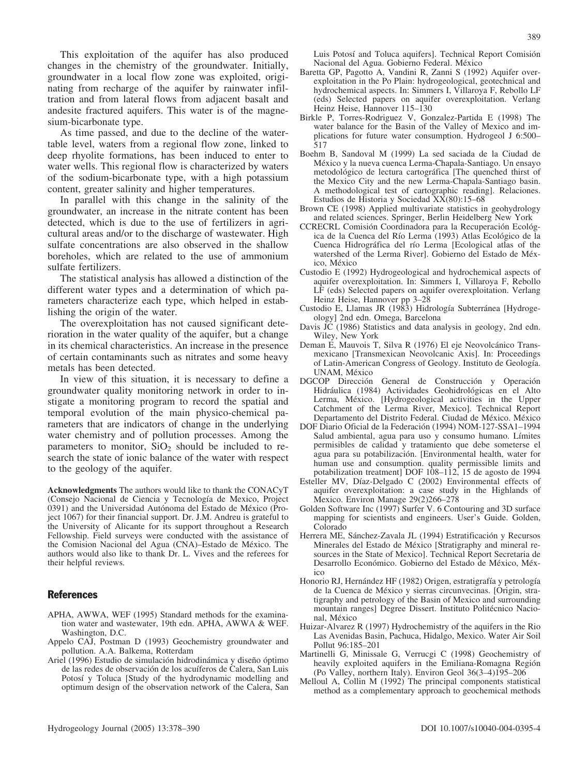This exploitation of the aquifer has also produced changes in the chemistry of the groundwater. Initially, groundwater in a local flow zone was exploited, originating from recharge of the aquifer by rainwater infiltration and from lateral flows from adjacent basalt and andesite fractured aquifers. This water is of the magnesium-bicarbonate type.

As time passed, and due to the decline of the watertable level, waters from a regional flow zone, linked to deep rhyolite formations, has been induced to enter to water wells. This regional flow is characterized by waters of the sodium-bicarbonate type, with a high potassium content, greater salinity and higher temperatures.

In parallel with this change in the salinity of the groundwater, an increase in the nitrate content has been detected, which is due to the use of fertilizers in agricultural areas and/or to the discharge of wastewater. High sulfate concentrations are also observed in the shallow boreholes, which are related to the use of ammonium sulfate fertilizers.

The statistical analysis has allowed a distinction of the different water types and a determination of which parameters characterize each type, which helped in establishing the origin of the water.

The overexploitation has not caused significant deterioration in the water quality of the aquifer, but a change in its chemical characteristics. An increase in the presence of certain contaminants such as nitrates and some heavy metals has been detected.

In view of this situation, it is necessary to define a groundwater quality monitoring network in order to instigate a monitoring program to record the spatial and temporal evolution of the main physico-chemical parameters that are indicators of change in the underlying water chemistry and of pollution processes. Among the parameters to monitor,  $SiO<sub>2</sub>$  should be included to research the state of ionic balance of the water with respect to the geology of the aquifer.

Acknowledgments The authors would like to thank the CONACyT (Consejo Nacional de Ciencia y Tecnologa de Mexico, Project 0391) and the Universidad Autónoma del Estado de México (Project 1067) for their financial support. Dr. J.M. Andreu is grateful to the University of Alicante for its support throughout a Research Fellowship. Field surveys were conducted with the assistance of the Comision Nacional del Agua (CNA)–Estado de México. The authors would also like to thank Dr. L. Vives and the referees for their helpful reviews.

#### References

- APHA, AWWA, WEF (1995) Standard methods for the examination water and wastewater, 19th edn. APHA, AWWA & WEF. Washington, D.C.
- Appelo CAJ, Postman D (1993) Geochemistry groundwater and pollution. A.A. Balkema, Rotterdam
- Ariel (1996) Estudio de simulación hidrodinámica y diseño óptimo de las redes de observación de los acuíferos de Calera, San Luis Potosí y Toluca [Study of the hydrodynamic modelling and optimum design of the observation network of the Calera, San

Luis Potosí and Toluca aquifers]. Technical Report Comisión Nacional del Agua. Gobierno Federal. México

- Baretta GP, Pagotto A, Vandini R, Zanni S (1992) Aquifer overexploitation in the Po Plain: hydrogeological, geotechnical and hydrochemical aspects. In: Simmers I, Villaroya F, Rebollo LF (eds) Selected papers on aquifer overexploitation. Verlang Heinz Heise, Hannover 115–130
- Birkle P, Torres-Rodriguez V, Gonzalez-Partida E (1998) The water balance for the Basin of the Valley of Mexico and implications for future water consumption. Hydrogeol J 6:500– 517
- Boehm B, Sandoval M (1999) La sed saciada de la Ciudad de México y la nueva cuenca Lerma-Chapala-Santiago. Un ensayo metodológico de lectura cartográfica [The quenched thirst of the Mexico City and the new Lerma-Chapala-Santiago basin. A methodological test of cartographic reading]. Relaciones. Estudios de Historia y Sociedad  $\overline{XX}(80)$ :15–68
- Brown CE (1998) Applied multivariate statistics in geohydrology and related sciences. Springer, Berlin Heidelberg New York
- CCRECRL Comisión Coordinadora para la Recuperación Ecológica de la Cuenca del Río Lerma (1993) Atlas Ecológico de la Cuenca Hidrográfica del río Lerma [Ecological atlas of the watershed of the Lerma River]. Gobierno del Estado de México, México
- Custodio E (1992) Hydrogeological and hydrochemical aspects of aquifer overexploitation. In: Simmers I, Villaroya F, Rebollo LF (eds) Selected papers on aquifer overexploitation. Verlang Heinz Heise, Hannover pp 3–28
- Custodio E, Llamas JR (1983) Hidrología Subterránea [Hydrogeology] 2nd edn. Omega, Barcelona
- Davis JC (1986) Statistics and data analysis in geology, 2nd edn. Wiley, New York
- Deman E, Mauvois T, Silva R (1976) El eje Neovolcánico Transmexicano [Transmexican Neovolcanic Axis]. In: Proceedings of Latin-American Congress of Geology. Instituto de Geologa. UNAM, México
- DGCOP Dirección General de Construcción y Operación Hidráulica (1984) Actividades Geohidrológicas en el Alto Lerma, México. [Hydrogeological activities in the Upper Catchment of the Lerma River, Mexico]. Technical Report Departamento del Distrito Federal. Ciudad de México. México
- DOF Diario Oficial de la Federación (1994) NOM-127-SSA1-1994 Salud ambiental, agua para uso y consumo humano. Límites permisibles de calidad y tratamiento que debe someterse el agua para su potabilización. [Environmental health, water for human use and consumption. quality permissible limits and potabilization treatment] DOF 108–112, 15 de agosto de 1994
- Esteller MV, Díaz-Delgado C (2002) Environmental effects of aquifer overexploitation: a case study in the Highlands of Mexico. Environ Manage 29(2)266–278
- Golden Software Inc (1997) Surfer V. 6 Contouring and 3D surface mapping for scientists and engineers. User's Guide. Golden, Colorado
- Herrera ME, Sánchez-Zavala JL (1994) Estratificación y Recursos Minerales del Estado de México [Stratigraphy and mineral resources in the State of Mexico]. Technical Report Secretaria de Desarrollo Económico. Gobierno del Estado de México, México
- Honorio RJ, Hernández HF (1982) Origen, estratigrafía y petrología de la Cuenca de México y sierras circunvecinas. [Origin, stratigraphy and petrology of the Basin of Mexico and surrounding mountain ranges] Degree Dissert. Instituto Politécnico Nacional, México
- Huizar-Alvarez R (1997) Hydrochemistry of the aquifers in the Rio Las Avenidas Basin, Pachuca, Hidalgo, Mexico. Water Air Soil Pollut 96:185–201
- Martinelli G, Minissale G, Verrucgi C (1998) Geochemistry of heavily exploited aquifers in the Emiliana-Romagna Región (Po Valley, northern Italy). Environ Geol 36(3–4)195–206
- Melloul A, Collin M (1992) The principal components statistical method as a complementary approach to geochemical methods